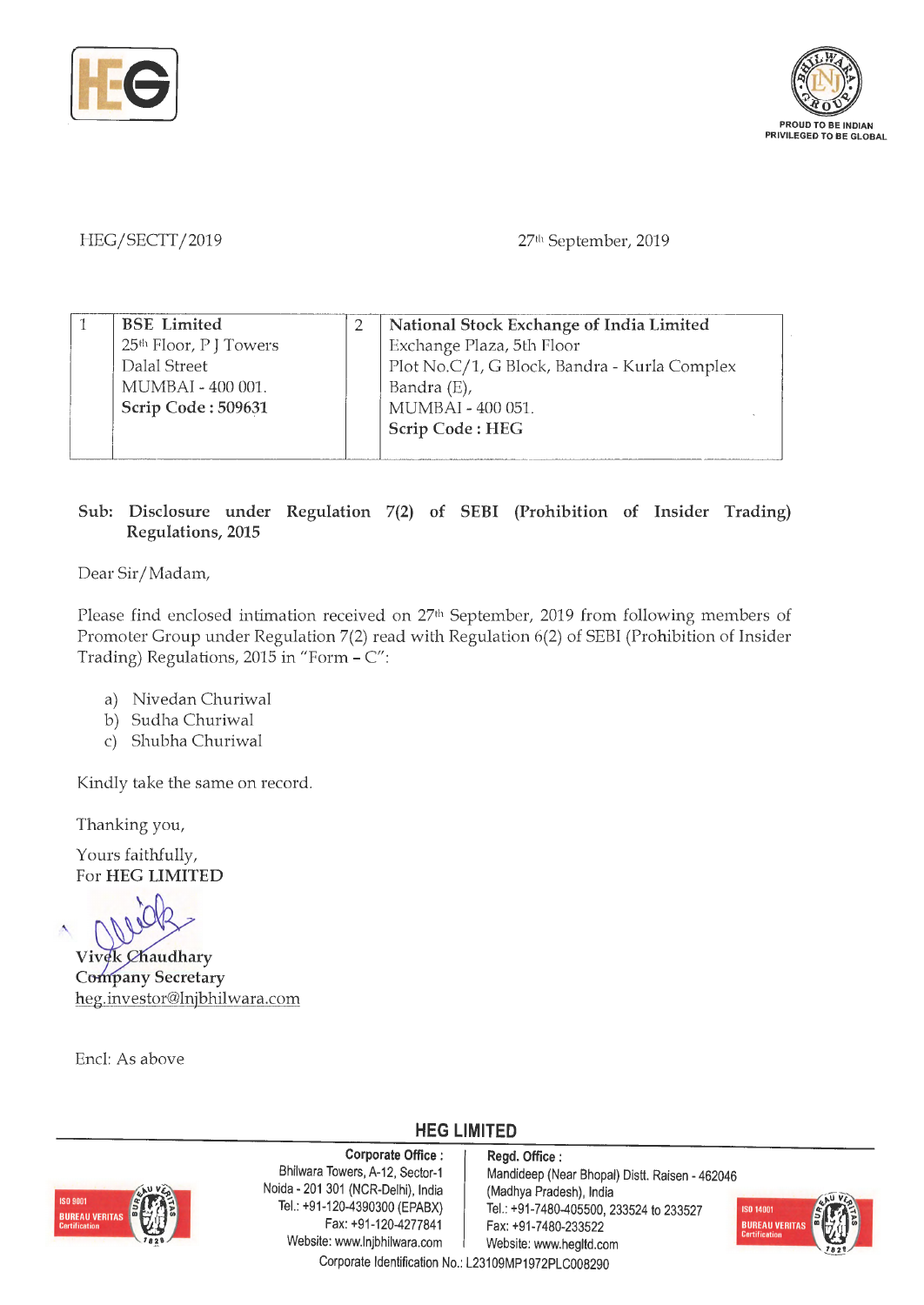



HEG/SECTT/2019

27th September, 2019

| <b>BSE</b> Limited                 | National Stock Exchange of India Limited     |
|------------------------------------|----------------------------------------------|
| 25 <sup>th</sup> Floor, P J Towers | Exchange Plaza, 5th Floor                    |
| Dalal Street                       | Plot No.C/1, G Block, Bandra - Kurla Complex |
| MUMBAI - 400 001.                  | Bandra (E),                                  |
| Scrip Code: 509631                 | MUMBAI - 400 051.                            |
|                                    | Scrip Code: HEG                              |
|                                    |                                              |

#### **Sub: Disclosure under Regulation 7(2) of SEBI (Prohibition of Insider Trading) Regulations, 2015**

Dear Sir/ Madam,

Please find enclosed intimation received on 27<sup>th</sup> September, 2019 from following members of Promoter Group under Regulation 7(2) read with Regulation 6(2) of SEBI (Prohibition of Insider Trading) Regulations, 2015 in "Form - C":

- a) Nivedan Churiwal
- b) Sudha Churiwal
- c) Shubha Churiwal

Kindly take the same on record.

Thanking you,

Yours faithfully, For **HEG LIMITED** 

'

**Vivek Chaudhary Company Secretary** heg.investor@lnjbhilwara.com

Encl: As above

**HEG LIMITED** 



**Corporate Office : Regd. Office :**<br>Bhilwara Towers, A-12, Sector-1 **Mandideen** (Ne Noida - 201 301 (NCR-Delhi), India (Madhya Pradesh), India Tel.: +91-120-4390300 (EPABX) Tel.: +91-7480-405500. 2 Website: www.lnjbhilwara.com | Website: www.hegitd.com

Mandideep (Near Bhopal) Distt. Raisen - 462046 Tel.: +91 -120-4390300 (EPABX) Tel.: +91 -7480-405500, 233524 to 233527<br>Fax: +91 -120 -4277841 Fax: +91 -7480 -233522 Fax: +91-7480-233522

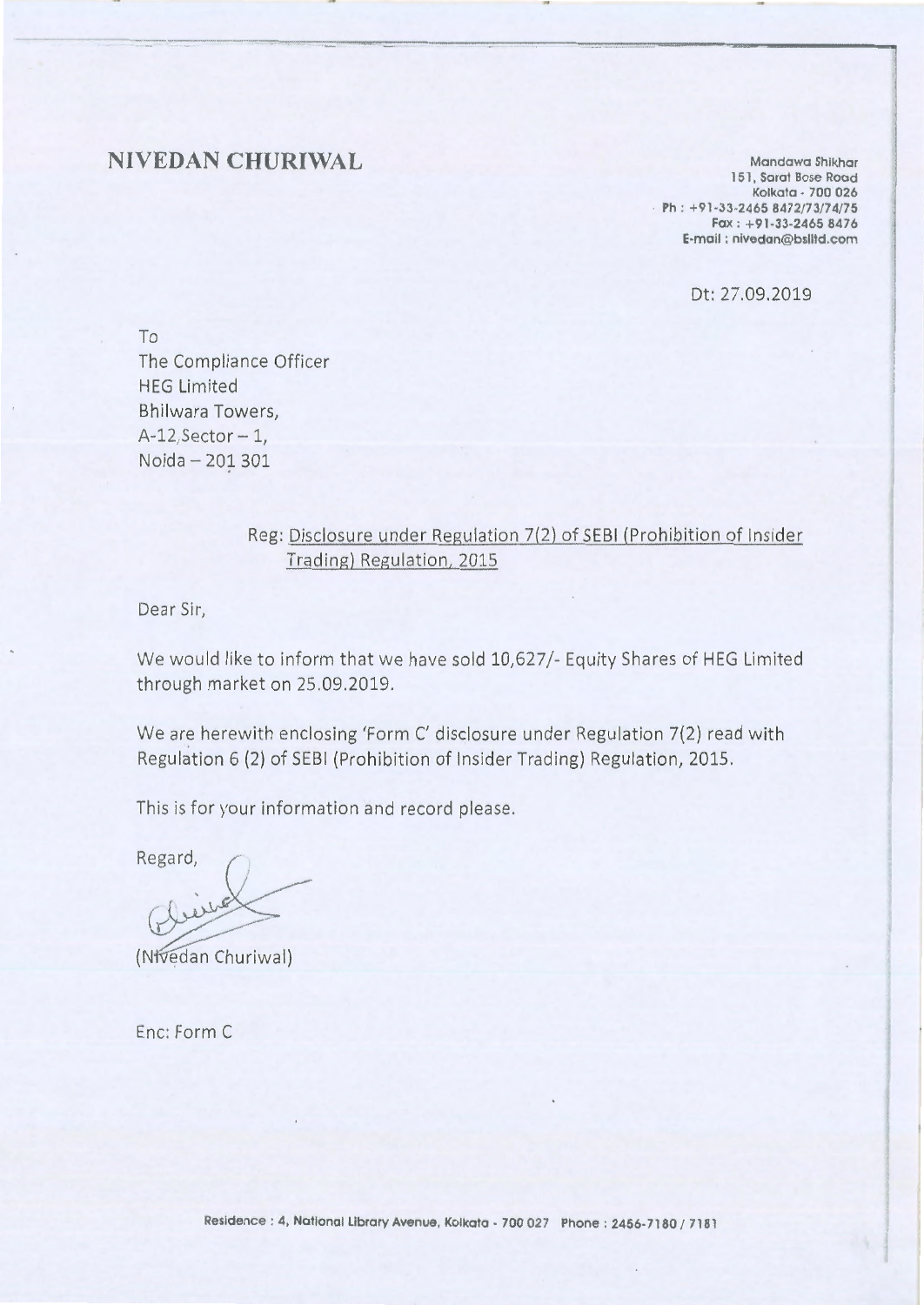#### **NIVEDAN CHURIWAL**

**Mondowa Shikhar l 51** , **Saraf Bose Road Kolkato** • **700 026 Ph: +91-33-2465 8472/73/74/75 Fax** : **+91-33-2465 8476 E-mail** : **nivedon@bslltd.com** 

Dt: 27.09.2019

To The Compliance Officer HEG Limited Bhilwara Towers,  $A-12$ , Sector - 1, Noida - 201 301

#### Reg: Disclosure under Regulation 7(2) of SEBI (Prohibition of Insider Trading) Regulation, 2015

Dear Sir,

We would like to inform that we have sold 10,627/- Equity Shares of HEG Limited through market on 25.09.2019.

We are herewith enclosing 'Form C' disclosure under Regulation 7(2) read with Regulation 6 (2) of SEBI (Prohibition of Insider Trading) Regulation, 2015.

This is for your information and record please.

Regard,

(Nfvedan Churiwal)

Enc: Form C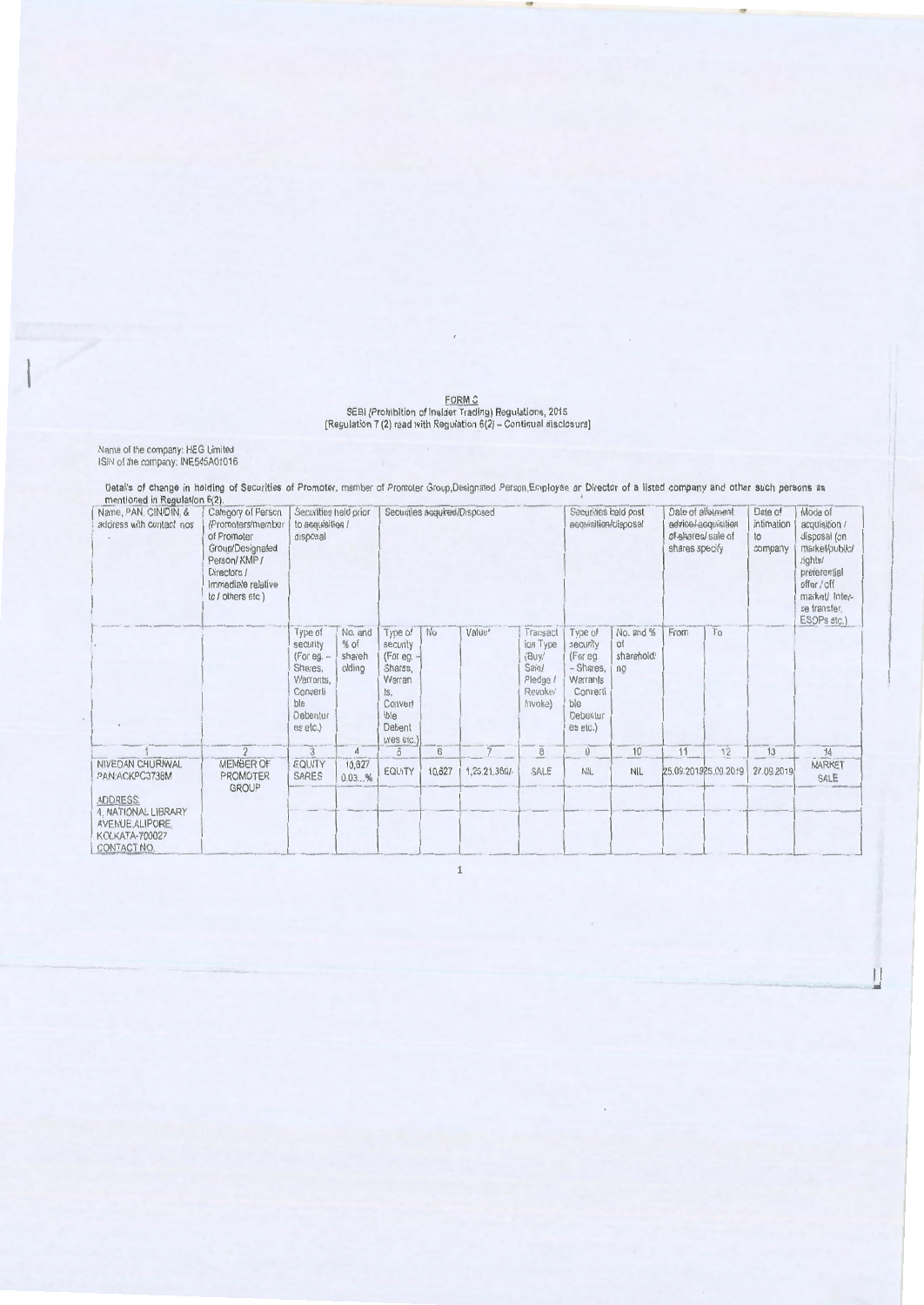## FORM C<br>SEBI (Prohibition of Insider Trading) Regulations, 2015<br>[Regulation 7 (2) read with Regulation 6(2) – Continual disclosure]

Name of the company: HEG Limited<br>ISIN of the company: INE545A01016

Details of change in holding of Securities of Promoter, member of Promoter Group, Designated Person, Employee or Director of a listed company and other such persons as

| mennonea in Degelation of the<br>Name, PAN, CIN/DIN, &<br>address with contact nos                 | Category of Person<br>(Promoters/member<br>of Promoter<br>Group/Designated<br>Person/KMP/<br>Directors /<br>Immediate relative<br>to / others etc.) | Securities held prior<br>to acquisition /<br>disposal                                                  |                                       |                                                                                                            | Securities acquired/Disposed |               |                                                                          | Securities held post<br>acquisition/disposal                                                        |                                     | Date of allotment<br>advice/acquisitien<br>of-shares/ sale of<br>shares specify |    | Date of<br>intimation<br>to<br>company | Mode of<br>acquisition /<br>disposal (on<br>market/public/<br>rights/<br>preferential<br>offer / off<br>market/ Inter-<br>se transfer.<br>ESOPs etc.) |
|----------------------------------------------------------------------------------------------------|-----------------------------------------------------------------------------------------------------------------------------------------------------|--------------------------------------------------------------------------------------------------------|---------------------------------------|------------------------------------------------------------------------------------------------------------|------------------------------|---------------|--------------------------------------------------------------------------|-----------------------------------------------------------------------------------------------------|-------------------------------------|---------------------------------------------------------------------------------|----|----------------------------------------|-------------------------------------------------------------------------------------------------------------------------------------------------------|
|                                                                                                    |                                                                                                                                                     | Type of<br>security<br>$(For eq. -$<br>Shares.<br>Warrants.<br>Converli<br>ble<br>Debentur<br>es elc.) | No. and<br>$%$ of<br>shareh<br>olding | Type of<br>security<br>(For eg. $-$<br>Shares,<br>Warran<br>ts.<br>Convert<br>ible<br>Debent<br>ures etc.) | No                           | Value*        | Transact<br>ion Type<br>(Buy/<br>Sale/<br>Pledge /<br>Revoke/<br>Invoke) | Type of<br>security<br>(For eg.<br>- Shares,<br>Warrants<br>Converti<br>ble<br>Debentur<br>es etc.) | No. and %<br>of<br>shareholdi<br>ng | From                                                                            | To |                                        |                                                                                                                                                       |
|                                                                                                    | $\overline{2}$                                                                                                                                      | $\mathbf{3}$                                                                                           | $\sqrt{4}$                            | $\sqrt{5}$                                                                                                 | 6                            |               | 8                                                                        | 9                                                                                                   | 10                                  | 11                                                                              | 12 | 13                                     | $\overline{14}$                                                                                                                                       |
| NIVEDAN CHURIWAL<br>PAN:ACKPC3738M                                                                 | MEMBER OF<br><b>PROMOTER</b><br><b>GROUP</b>                                                                                                        | EQUITY<br><b>SARES</b>                                                                                 | 10,627<br>0.03%                       | EQUITY                                                                                                     | 10,627                       | 1,25,21,369/- | SALE                                                                     | NIL                                                                                                 | NIL.                                | 25.09.201925.09.2019                                                            |    | 27.09.2019                             | MARKET<br>SALE                                                                                                                                        |
| <b>ADDRESS:</b><br>4. NATIONAL LIBRARY<br>AVENUE, ALIPORE,<br><b>KOLKATA-700027</b><br>CONTACT NO. |                                                                                                                                                     |                                                                                                        |                                       |                                                                                                            |                              |               |                                                                          |                                                                                                     |                                     |                                                                                 |    |                                        |                                                                                                                                                       |

 $\epsilon$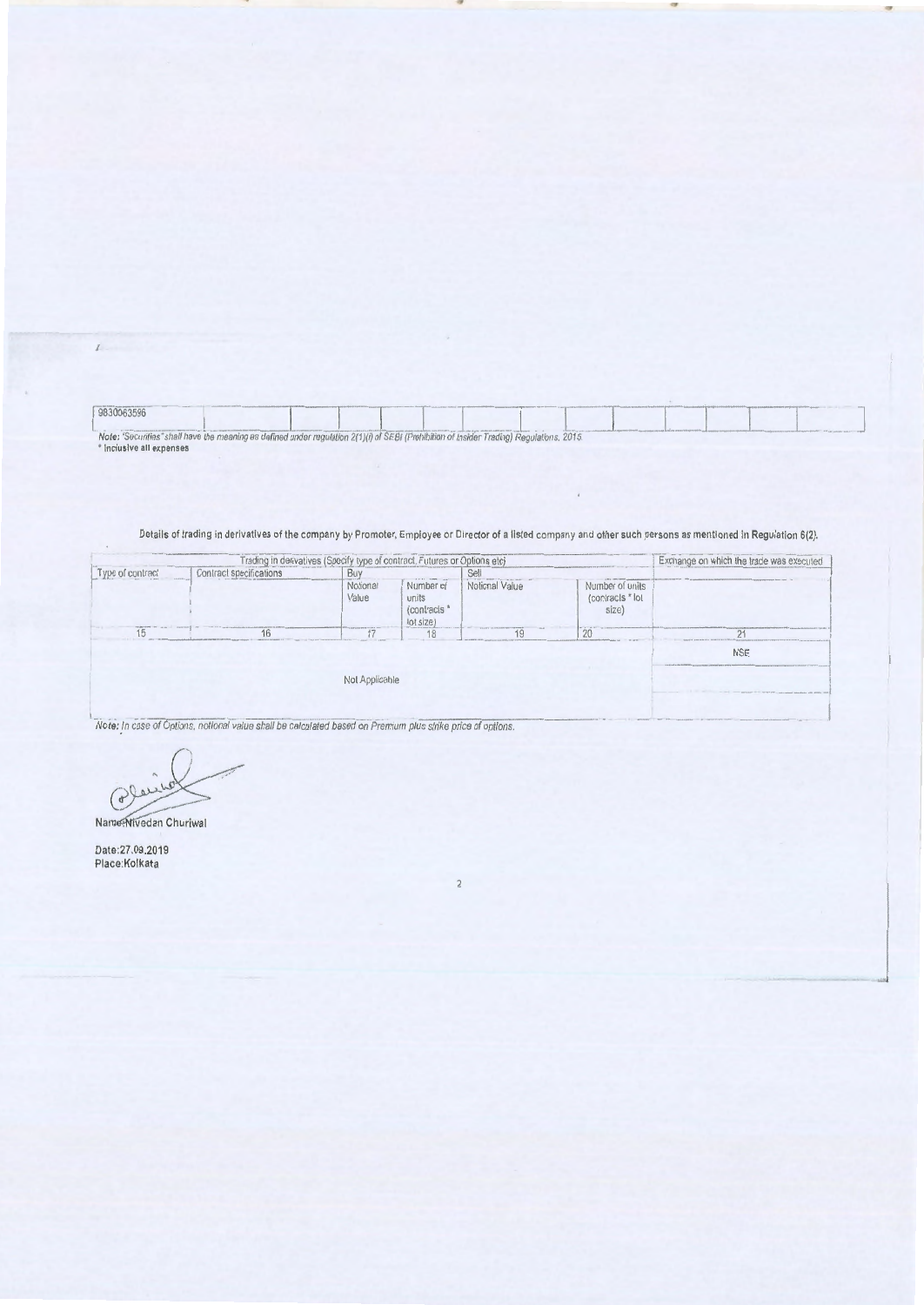9830063596 Note: "Securities" shall have the meaning as defined under regulation 2(1)(i) of SEBI (Prohibition of Insider Trading) Regulations, 2015.<br>\* Inclusive all expenses

19

#### Details of trading in derivatives of the company by Promoter, Employee or Director of a listed company and other such persons as mentioned in Regulation 6(2).

|          |                         | Trading in derivatives (Specify type of contract, Futures or Options etc) |                                                      |                |                                              | Exchange on which the trade was execute |
|----------|-------------------------|---------------------------------------------------------------------------|------------------------------------------------------|----------------|----------------------------------------------|-----------------------------------------|
| rontract | Contract specifications |                                                                           |                                                      | Sel            |                                              |                                         |
|          |                         | Notional<br>Value                                                         | Number of<br>units<br><i>(contracts</i><br>lot size) | Notional Value | Number of units<br>(contracts * lot<br>size) |                                         |
|          |                         |                                                                           | 18                                                   | 1 C            | 20                                           |                                         |
|          |                         |                                                                           |                                                      |                |                                              | <b>NSE</b>                              |
|          |                         | Not Applicable                                                            |                                                      |                |                                              |                                         |
|          |                         |                                                                           |                                                      |                |                                              |                                         |

Place

Name: Nivedan Churiwa

Date:27.09.2019 Place:Kolkata

 $\mathcal{L}$  .

 $\overline{a}$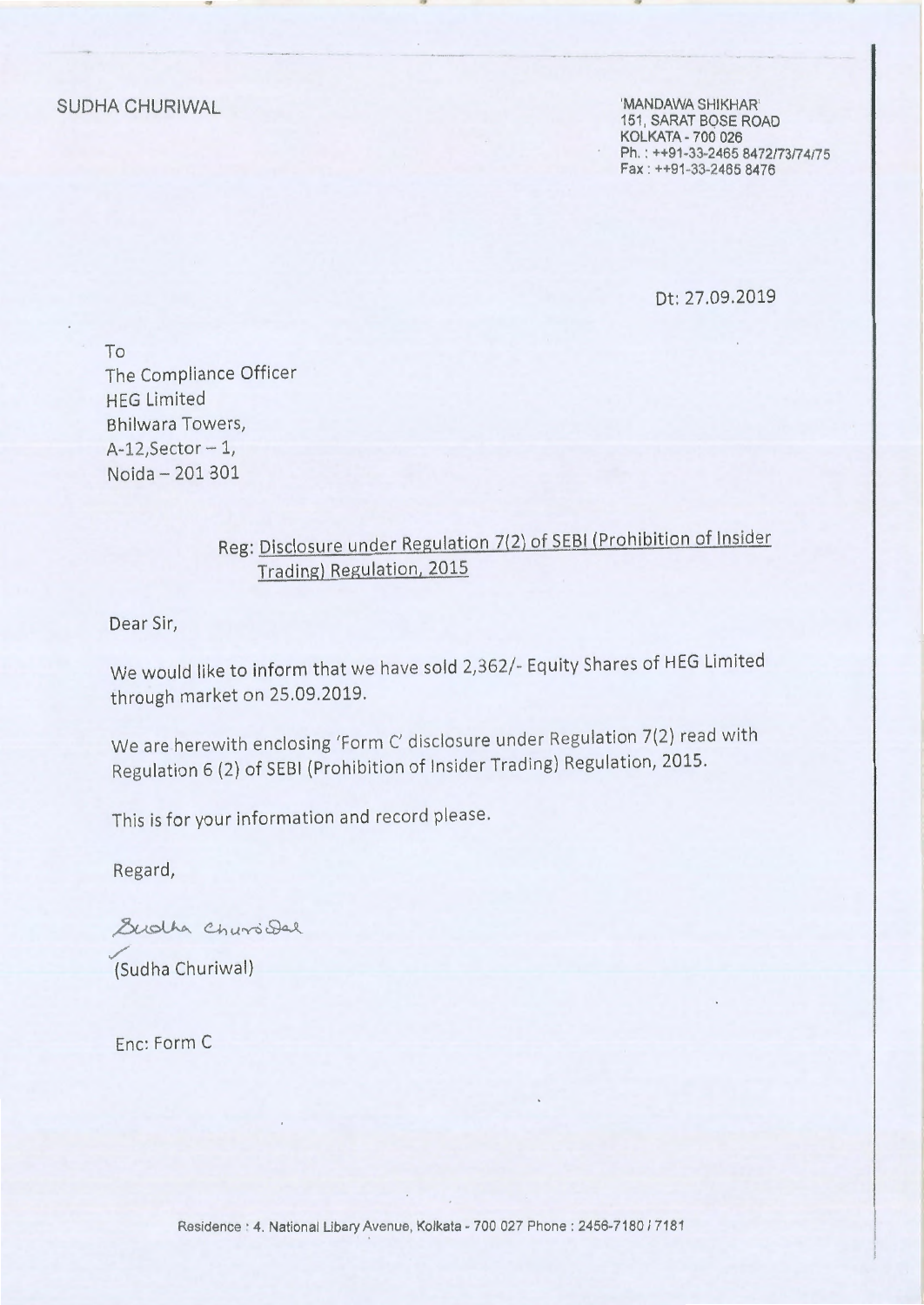SUDHA CHURIWAL

'MANDAWA SHIKHAR' 151, SARAT BOSE ROAD KOLKATA • 700 026 Ph.: ++91-33-2465 8472/73/74/75 Fax : ++91 -33-2465 8476

Dt: 27.09.2019

To The Compliance Officer HEG Limited Bhilwara Towers,  $A-12$ , Sector  $-1$ , Noida - 201 301

### Reg: Disclosure under Regulation 7(2) of SEBI {Prohibition of Insider Trading) Regulation, 2015

Dear Sir,

We would like to inform that we have sold 2,362/- Equity Shares of HEG Limited through market on 25.09.2019.

We are herewith enclosing 'Form C' disclosure under Regulation 7(2) read with Regulation 6 (2) of SEBI (Prohibition of Insider Trading) Regulation, 2015.

This is for your information and record please .

Regard,

Sudha Chursidal ./ (Sud ha Churiwal)

Enc: Form C

Residence : 4. National Libary Avenue, Kolkata - 700 027 Phone : 2456-7180 / 7181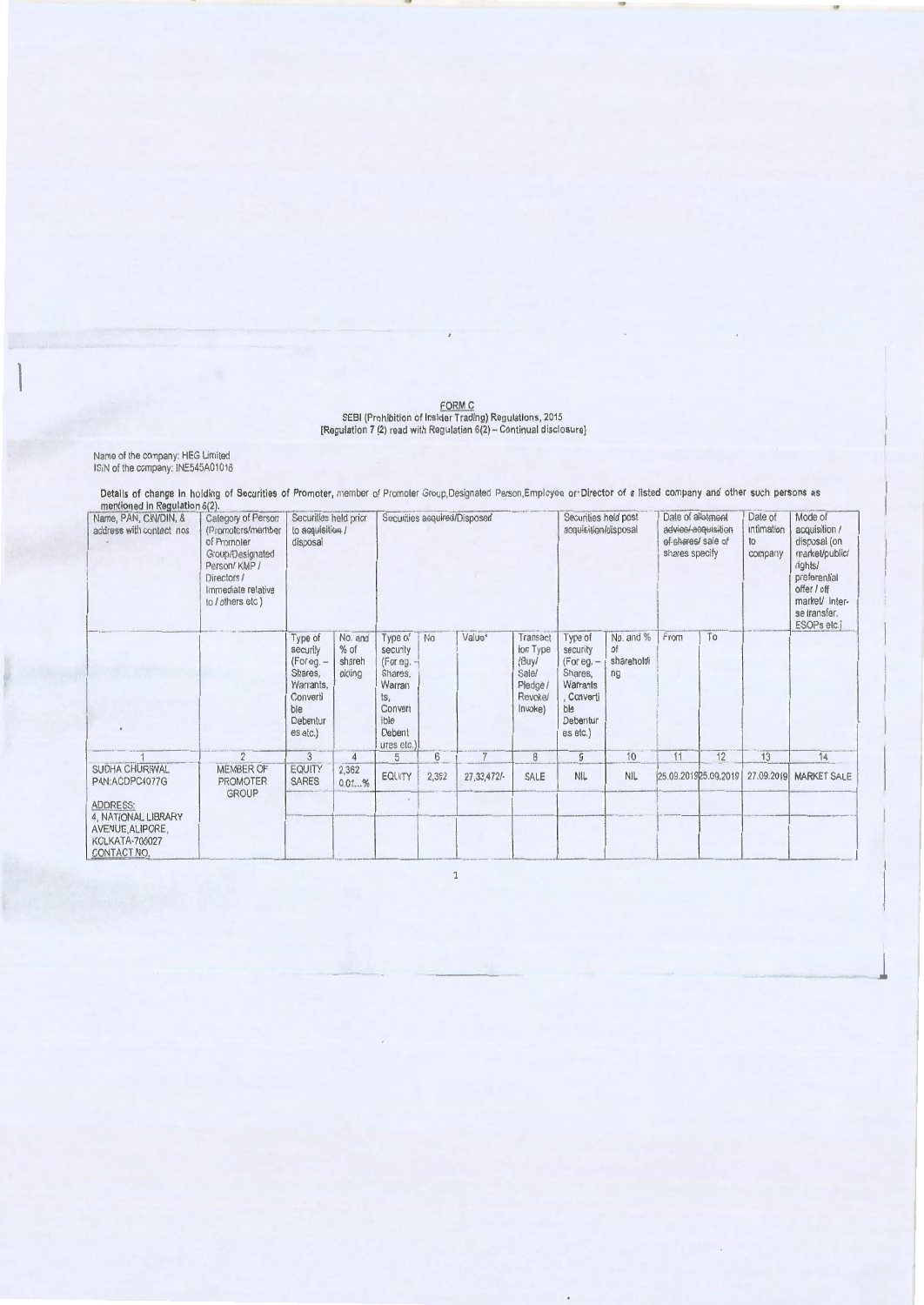FORM C<br>SEBI (Prohibition of Insider Trading) Regulations, 2015<br>[Regulation 7 (2) read with Regulation 6(2) -- Continual disclosure]

Name of the company: HEG Limited<br>ISIN of the company: INE545A01016

Details of change in holding of Securities of Promoter, member of Promoter Group, Designated Person, Employee or Director of a listed company and other such persons as

| mentioned in Regulation $o(z)$ .<br>Name, PAN, CIN/DIN, &<br>address with contact nos | Calegory of Person<br>(Promoters/member<br>of Promoter<br>Group/Designated<br>Person/ KMP /<br>Directors /<br>Immediate relative<br>to / others etc ) | Securities held prior<br>to acquisition /<br>disposal                                                  |                                       |                                                                                                          |       | Securities acquired/Disposed |                                                                                 | Securities held post<br>acquisition/disposal                                                            |                                            | Date of allotment<br>of shares/ sale of<br>shares specify | advice/-acquisition  | Date of<br><b>Intimation</b><br>to<br>company | Mode of<br>acquisition /<br>disposal (on<br>market/public/<br>rights/<br>preferential<br>offer / off<br>market/ Inter-<br>se transfer.<br>ESOPs etc.) |
|---------------------------------------------------------------------------------------|-------------------------------------------------------------------------------------------------------------------------------------------------------|--------------------------------------------------------------------------------------------------------|---------------------------------------|----------------------------------------------------------------------------------------------------------|-------|------------------------------|---------------------------------------------------------------------------------|---------------------------------------------------------------------------------------------------------|--------------------------------------------|-----------------------------------------------------------|----------------------|-----------------------------------------------|-------------------------------------------------------------------------------------------------------------------------------------------------------|
|                                                                                       |                                                                                                                                                       | Type of<br>security<br>$(For eq. -$<br>Shares.<br>Warrants,<br>Converti<br>ble<br>Debentur<br>es etc.) | No. and<br>$%$ of<br>shareh<br>olding | Type of<br>security<br>(For eg. -<br>Shares.<br>Warran<br>ts,<br>Convert<br>ible<br>Debent<br>ures etc.) | No    | Value*                       | Transact<br>ion Type<br>(Buy/<br>Sale/<br>Pledge /<br><b>Revoke/</b><br>Invoke) | Type of<br>security<br>$(For eq. -$<br>Shares,<br>Warrants<br>. Converti<br>ble<br>Debentur<br>es etc.) | No. and %<br><b>of</b><br>shareholdi<br>nq | From                                                      | To                   |                                               |                                                                                                                                                       |
|                                                                                       | $\overline{2}$                                                                                                                                        | 3                                                                                                      | $\overline{4}$                        | 5                                                                                                        | 6     | 7                            | 8                                                                               | 9                                                                                                       | 10                                         | 11                                                        | 12                   | 13                                            | 14                                                                                                                                                    |
| SUDHA CHURIWAL<br>PAN:ACDPC4077G<br><b>ADDRESS:</b><br>4, NATIONAL LIBRARY            | MEMBER OF<br><b>PROMOTER</b><br><b>GROUP</b>                                                                                                          | EQUITY<br><b>SARES</b>                                                                                 | 2,362<br>0.01%                        | <b>EQUITY</b><br>$\overline{a}$                                                                          | 2,362 | 27, 33, 472/-                | SALE                                                                            | <b>NIL</b>                                                                                              | <b>NIL</b>                                 |                                                           | 25.09.201925.09.2019 | 27.09.2019                                    | <b>MARKET SALE</b>                                                                                                                                    |
| AVENUE, ALIPORE,<br>KOLKATA-700027<br>CONTACT NO.                                     |                                                                                                                                                       |                                                                                                        |                                       |                                                                                                          |       |                              |                                                                                 |                                                                                                         |                                            |                                                           |                      |                                               |                                                                                                                                                       |

 $\overline{\phantom{a}}$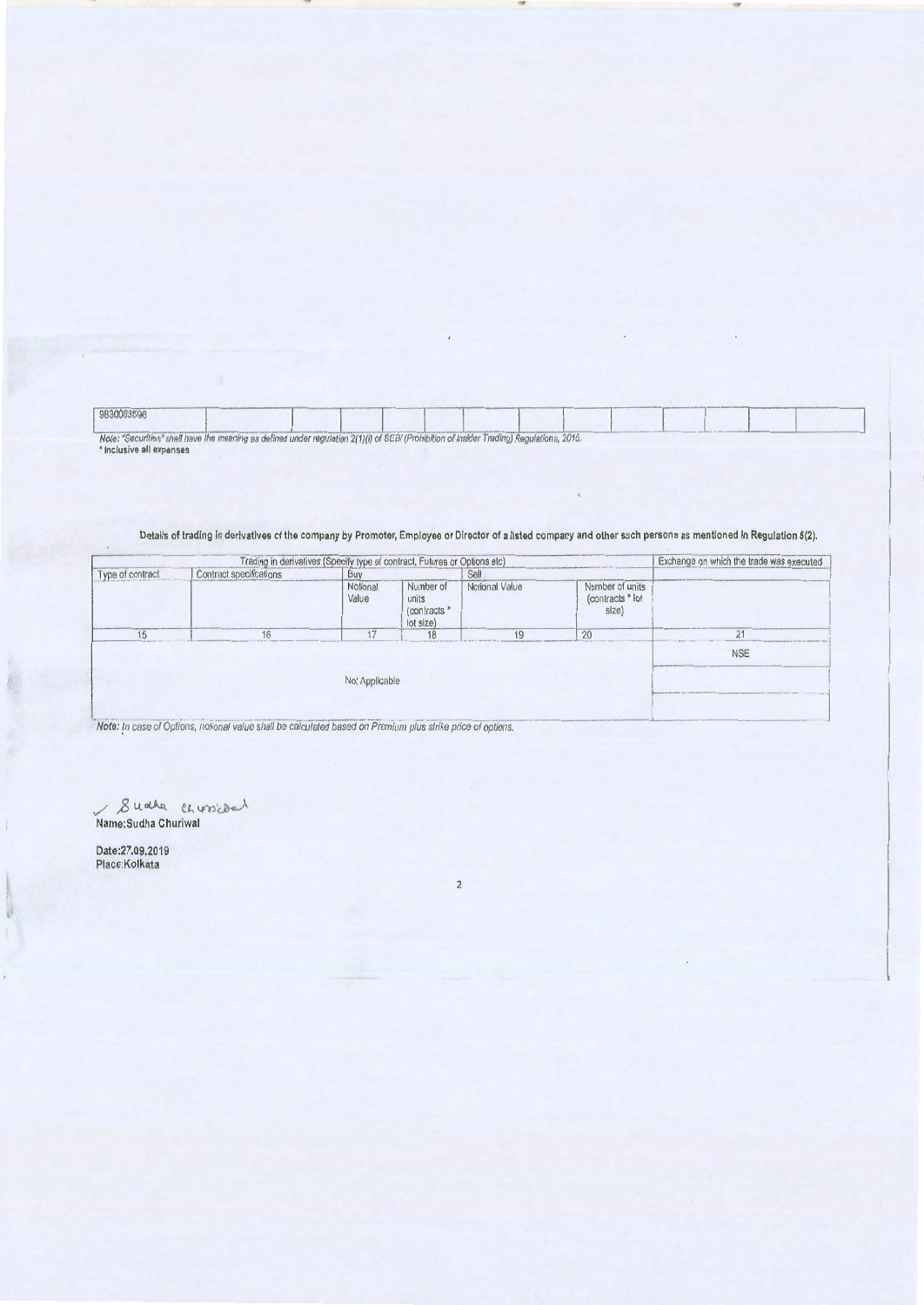9830063596 Note: "Securities" shall have the meaning as defined under regulation 2(1)(i) of SEBI (Prohibition of Insider Trading) Regulations, 2016.

Details of trading in derivatives of the company by Promoter, Employee or Director of a listed company and other such persons as mentioned in Regulation 6(2).

|                                        |  | Trading in derivatives (Specify type of contract, Futures or Options etc) |                                                |                |                                              | Exchange on which the trade was executed                                                             |
|----------------------------------------|--|---------------------------------------------------------------------------|------------------------------------------------|----------------|----------------------------------------------|------------------------------------------------------------------------------------------------------|
| Contract specifications<br>of contract |  | Buy                                                                       |                                                | Sell           |                                              |                                                                                                      |
|                                        |  | Notional<br>Value                                                         | Number of<br>units<br>(contracts)<br>lot size) | Notional Value | Number of units<br>(contracts * lot<br>size) |                                                                                                      |
|                                        |  |                                                                           | 18                                             | 10             | 2(                                           | 24                                                                                                   |
|                                        |  |                                                                           |                                                |                |                                              | <b>NSE</b>                                                                                           |
|                                        |  | Not Applicable                                                            |                                                |                |                                              | the children country charges was the additional and the control of the country of the control of the |
|                                        |  |                                                                           |                                                |                |                                              |                                                                                                      |

8 u other chursides

Date:27.09.2019<br>Place:Kolkata

B

**Secondary** 

 $\overline{2}$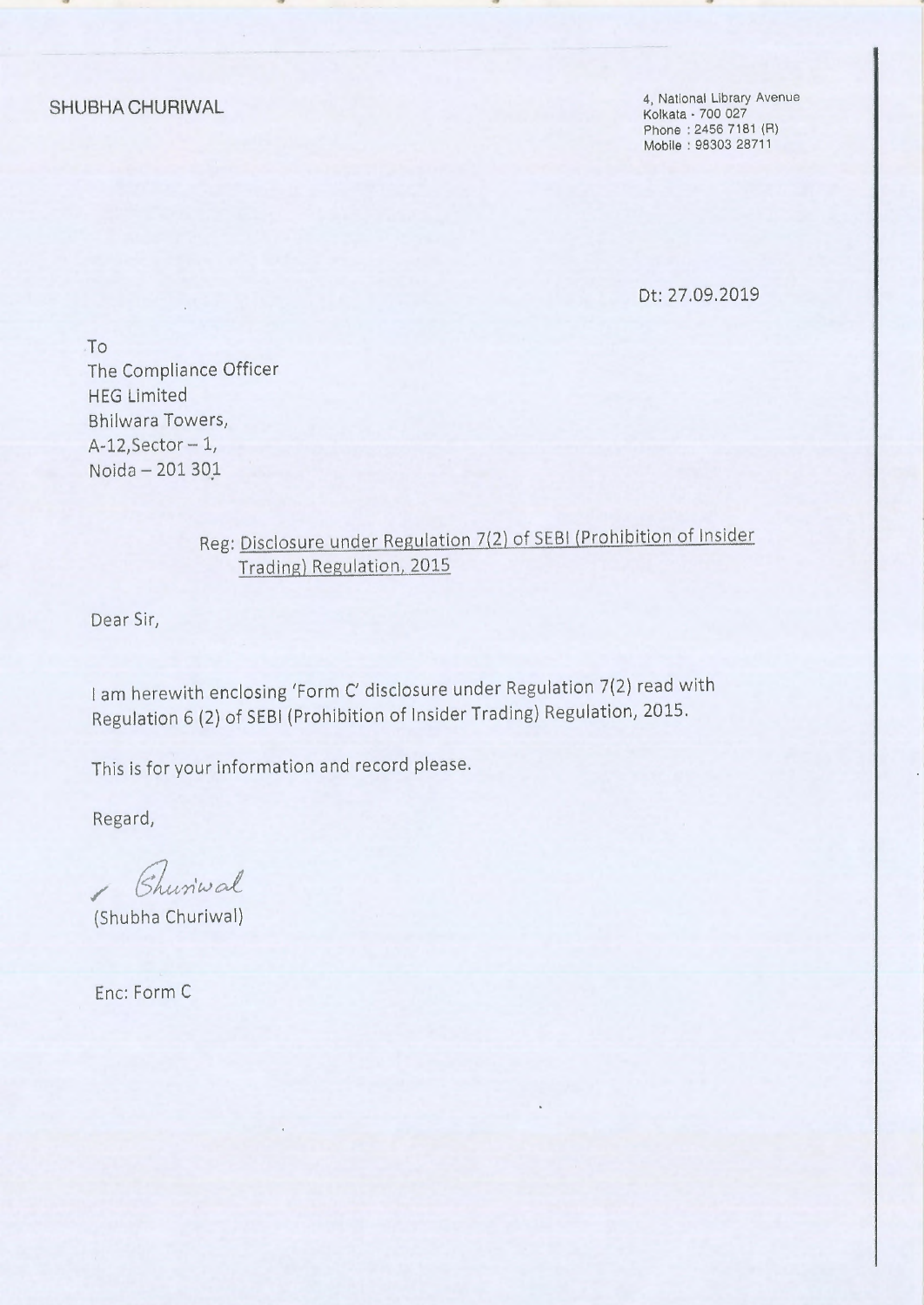**SHUBHA CHURIWAL** 

4, National Library Avenue Kolkata • 700 027 Phone : 2456 7181 (R) Mobile : 98303 28711

Dt: 27.09.2019

To The Compliance Officer HEG Limited Bhilwara Towers, A-12,Sector- 1, Noida - 201 301

> Reg: Disclosure under Regulation 7(2) of SEBI (Prohibition of Insider Trading) Regulation, 2015

Dear Sir,

I am herewith enclosing 'Form C' disclosure under Regulation 7(2) read with Regulation 6 (2) of SEBI (Prohibition of Insider Trading) Regulation, 2015.

This is for your information and record please.

Regard,

Churiwal /

(Shubha Churiwal)

Enc: Form C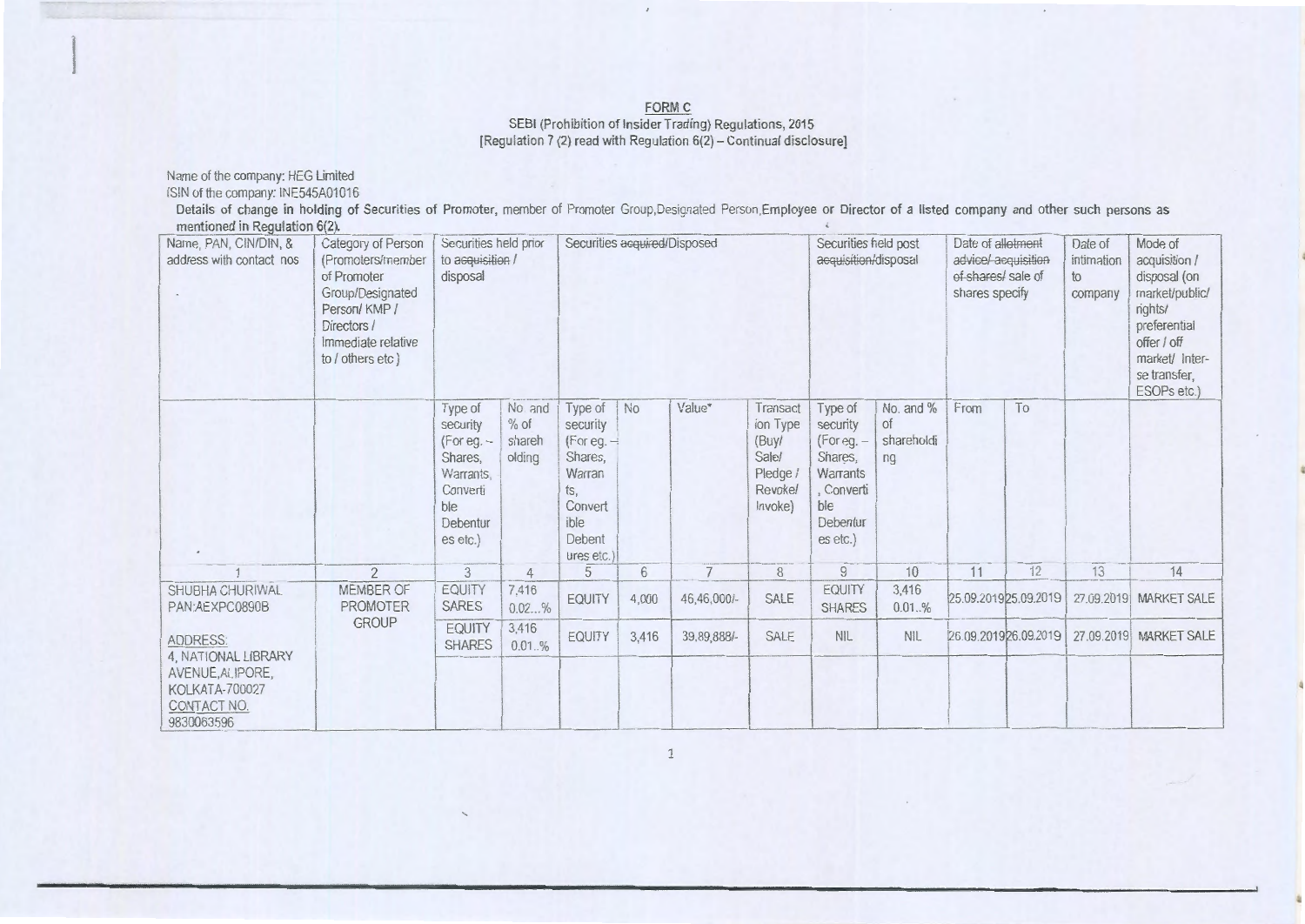# EORM C<br>SEBI (Prohibition of Insider Trading) Regulations, 2015<br>[Regulation 7 (2) read with Regulation 6(2) – Continual disclosure]

Name of the company: HEG Limited<br>ISIN of the company: INE545A01016

Details of change in holding of Securities of Promoter, member of Promoter Group, Designated Person, Employee or Director of a listed company and other such persons as mentioned in Regulation 6(2).

| Name, PAN, CIN/DIN, &<br>address with contact nos                                                         | Category of Person<br>(Promoters/member<br>of Promoter<br>Group/Designated<br>Person/KMP/<br>Directors /<br>Immediate relative<br>to / others etc ) | Securities held prior<br>to acquisition /<br>disposal                                                  |                                       | Securities acquired/Disposed                                                                               |                |             |                                                                         | Securities held post<br>acquisition/disposal                                                                 |                                            | Date of alletment<br>advice/acquisition<br>of shares/ sale of<br>shares specify |                       | Date of<br>intimation<br>to<br>company | Mode of<br>acquisition /<br>disposal (on<br>market/public/<br>rights/<br>preferential<br>offer / off<br>market/ Inter-<br>se transfer,<br>ESOPs etc.) |
|-----------------------------------------------------------------------------------------------------------|-----------------------------------------------------------------------------------------------------------------------------------------------------|--------------------------------------------------------------------------------------------------------|---------------------------------------|------------------------------------------------------------------------------------------------------------|----------------|-------------|-------------------------------------------------------------------------|--------------------------------------------------------------------------------------------------------------|--------------------------------------------|---------------------------------------------------------------------------------|-----------------------|----------------------------------------|-------------------------------------------------------------------------------------------------------------------------------------------------------|
|                                                                                                           |                                                                                                                                                     | Type of<br>security<br>$(For eq. -$<br>Shares,<br>Warrants,<br>Converti<br>ble<br>Debentur<br>es etc.) | No. and<br>$%$ of<br>shareh<br>olding | Type of<br>security<br>$(For eq. -$<br>Shares.<br>Warran<br>ts,<br>Convert<br>ible<br>Debent<br>ures etc.) | No             | Value*      | Transact<br>ion Type<br>(Buy/<br>Sale<br>Pledge /<br>Revokel<br>Invoke) | Type of<br>security<br>(For eq. –<br>Shares.<br><b>Warrants</b><br>, Converti<br>ble<br>Debentur<br>es etc.) | No. and %<br><b>of</b><br>shareholdi<br>nq | From                                                                            | To                    |                                        |                                                                                                                                                       |
|                                                                                                           | $\overline{2}$                                                                                                                                      | 3                                                                                                      | 4                                     | 5                                                                                                          | $6\phantom{1}$ | 7           | 8                                                                       | $\overline{9}$                                                                                               | 10                                         | 11                                                                              | 12                    | 13                                     | 14                                                                                                                                                    |
| SHUBHA CHURIWAL<br>PAN:AEXPC0890B                                                                         | MEMBER OF<br><b>PROMOTER</b>                                                                                                                        | EQUITY<br><b>SARES</b>                                                                                 | 7,416<br>0.02%                        | <b>EQUITY</b>                                                                                              | 4,000          | 46,46,000/- | SALE                                                                    | EQUITY<br><b>SHARES</b>                                                                                      | 3,416<br>$0.01.,\%$                        |                                                                                 | 25.09.2019 25.09.2019 |                                        | 27.09.2019 MARKET SALE                                                                                                                                |
| ADDRESS:<br>4, NATIONAL LIBRARY<br>AVENUE, ALIPORE,<br><b>KOLKATA-700027</b><br>CONTACT NO.<br>9830063596 | <b>GROUP</b>                                                                                                                                        | <b>EQUITY</b><br><b>SHARES</b>                                                                         | 3,416<br>0.01%                        | EQUITY                                                                                                     | 3,416          | 39,89,888/- | SALE                                                                    | <b>NIL</b>                                                                                                   | <b>NIL</b>                                 |                                                                                 | 26.09.201926.09.2019  |                                        | 27.09.2019 MARKET SALE                                                                                                                                |

 $\mathbf{1}$